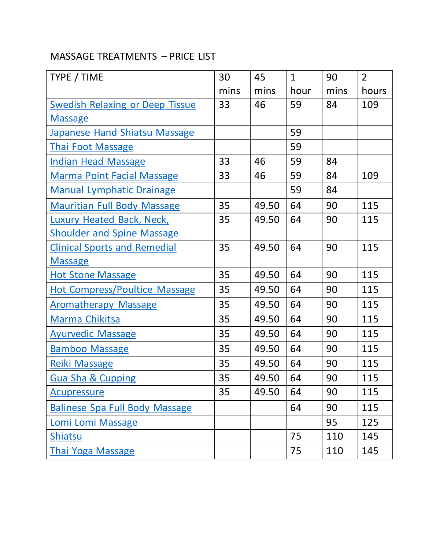## MASSAGE TREATMENTS – PRICE LIST

| TYPE / TIME                            | 30   | 45    | $\mathbf{1}$ | 90   | $\overline{2}$ |
|----------------------------------------|------|-------|--------------|------|----------------|
|                                        | mins | mins  | hour         | mins | hours          |
| <b>Swedish Relaxing or Deep Tissue</b> | 33   | 46    | 59           | 84   | 109            |
| <b>Massage</b>                         |      |       |              |      |                |
| <b>Japanese Hand Shiatsu Massage</b>   |      |       | 59           |      |                |
| <b>Thai Foot Massage</b>               |      |       | 59           |      |                |
| <b>Indian Head Massage</b>             | 33   | 46    | 59           | 84   |                |
| <b>Marma Point Facial Massage</b>      | 33   | 46    | 59           | 84   | 109            |
| <b>Manual Lymphatic Drainage</b>       |      |       | 59           | 84   |                |
| <b>Mauritian Full Body Massage</b>     | 35   | 49.50 | 64           | 90   | 115            |
| Luxury Heated Back, Neck,              | 35   | 49.50 | 64           | 90   | 115            |
| <b>Shoulder and Spine Massage</b>      |      |       |              |      |                |
| <b>Clinical Sports and Remedial</b>    | 35   | 49.50 | 64           | 90   | 115            |
| <b>Massage</b>                         |      |       |              |      |                |
| <b>Hot Stone Massage</b>               | 35   | 49.50 | 64           | 90   | 115            |
| <b>Hot Compress/Poultice Massage</b>   | 35   | 49.50 | 64           | 90   | 115            |
| <b>Aromatherapy Massage</b>            | 35   | 49.50 | 64           | 90   | 115            |
| Marma Chikitsa                         | 35   | 49.50 | 64           | 90   | 115            |
| <b>Ayurvedic Massage</b>               | 35   | 49.50 | 64           | 90   | 115            |
| <b>Bamboo Massage</b>                  | 35   | 49.50 | 64           | 90   | 115            |
| Reiki Massage                          | 35   | 49.50 | 64           | 90   | 115            |
| Gua Sha & Cupping                      | 35   | 49.50 | 64           | 90   | 115            |
| <u>Acupressure</u>                     | 35   | 49.50 | 64           | 90   | 115            |
| <b>Balinese Spa Full Body Massage</b>  |      |       | 64           | 90   | 115            |
| Lomi Lomi Massage                      |      |       |              | 95   | 125            |
| <b>Shiatsu</b>                         |      |       | 75           | 110  | 145            |
| <b>Thai Yoga Massage</b>               |      |       | 75           | 110  | 145            |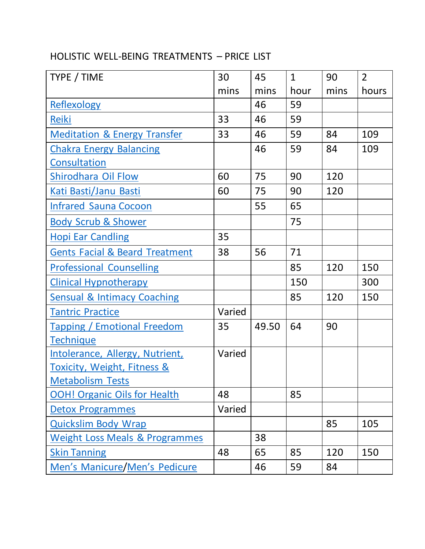### HOLISTIC WELL-BEING TREATMENTS – PRICE LIST

| TYPE / TIME                               | 30     | 45    | $\mathbf{1}$ | 90   | $\overline{2}$ |
|-------------------------------------------|--------|-------|--------------|------|----------------|
|                                           | mins   | mins  | hour         | mins | hours          |
| Reflexology                               |        | 46    | 59           |      |                |
| <b>Reiki</b>                              | 33     | 46    | 59           |      |                |
| <b>Meditation &amp; Energy Transfer</b>   | 33     | 46    | 59           | 84   | 109            |
| <b>Chakra Energy Balancing</b>            |        | 46    | 59           | 84   | 109            |
| Consultation                              |        |       |              |      |                |
| Shirodhara Oil Flow                       | 60     | 75    | 90           | 120  |                |
| <b>Kati Basti/Janu Basti</b>              | 60     | 75    | 90           | 120  |                |
| <b>Infrared Sauna Cocoon</b>              |        | 55    | 65           |      |                |
| <b>Body Scrub &amp; Shower</b>            |        |       | 75           |      |                |
| <b>Hopi Ear Candling</b>                  | 35     |       |              |      |                |
| <b>Gents Facial &amp; Beard Treatment</b> | 38     | 56    | 71           |      |                |
| <b>Professional Counselling</b>           |        |       | 85           | 120  | 150            |
| <b>Clinical Hypnotherapy</b>              |        |       | 150          |      | 300            |
| <b>Sensual &amp; Intimacy Coaching</b>    |        |       | 85           | 120  | 150            |
| <b>Tantric Practice</b>                   | Varied |       |              |      |                |
| <b>Tapping / Emotional Freedom</b>        | 35     | 49.50 | 64           | 90   |                |
| <b>Technique</b>                          |        |       |              |      |                |
| Intolerance, Allergy, Nutrient,           | Varied |       |              |      |                |
| <b>Toxicity, Weight, Fitness &amp;</b>    |        |       |              |      |                |
| <b>Metabolism Tests</b>                   |        |       |              |      |                |
| <b>OOH! Organic Oils for Health</b>       | 48     |       | 85           |      |                |
| <b>Detox Programmes</b>                   | Varied |       |              |      |                |
| <b>Quickslim Body Wrap</b>                |        |       |              | 85   | 105            |
| <b>Weight Loss Meals &amp; Programmes</b> |        | 38    |              |      |                |
| <b>Skin Tanning</b>                       | 48     | 65    | 85           | 120  | 150            |
| Men's Manicure/Men's Pedicure             |        | 46    | 59           | 84   |                |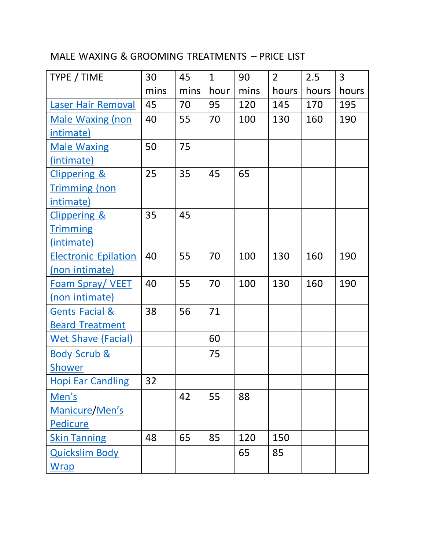## MALE WAXING & GROOMING TREATMENTS – PRICE LIST

| TYPE / TIME                 | 30   | 45   | $\mathbf{1}$ | 90   | $\overline{2}$ | 2.5   | 3     |
|-----------------------------|------|------|--------------|------|----------------|-------|-------|
|                             | mins | mins | hour         | mins | hours          | hours | hours |
| <b>Laser Hair Removal</b>   | 45   | 70   | 95           | 120  | 145            | 170   | 195   |
| <b>Male Waxing (non</b>     | 40   | 55   | 70           | 100  | 130            | 160   | 190   |
| intimate)                   |      |      |              |      |                |       |       |
| <b>Male Waxing</b>          | 50   | 75   |              |      |                |       |       |
| (intimate)                  |      |      |              |      |                |       |       |
| <b>Clippering &amp;</b>     | 25   | 35   | 45           | 65   |                |       |       |
| <b>Trimming (non</b>        |      |      |              |      |                |       |       |
| intimate)                   |      |      |              |      |                |       |       |
| <b>Clippering &amp;</b>     | 35   | 45   |              |      |                |       |       |
| <b>Trimming</b>             |      |      |              |      |                |       |       |
| (intimate)                  |      |      |              |      |                |       |       |
| <b>Electronic Epilation</b> | 40   | 55   | 70           | 100  | 130            | 160   | 190   |
| (non intimate)              |      |      |              |      |                |       |       |
| <b>Foam Spray/VEET</b>      | 40   | 55   | 70           | 100  | 130            | 160   | 190   |
| (non intimate)              |      |      |              |      |                |       |       |
| <b>Gents Facial &amp;</b>   | 38   | 56   | 71           |      |                |       |       |
| <b>Beard Treatment</b>      |      |      |              |      |                |       |       |
| <b>Wet Shave (Facial)</b>   |      |      | 60           |      |                |       |       |
| <b>Body Scrub &amp;</b>     |      |      | 75           |      |                |       |       |
| <b>Shower</b>               |      |      |              |      |                |       |       |
| <b>Hopi Ear Candling</b>    | 32   |      |              |      |                |       |       |
| Men's                       |      | 42   | 55           | 88   |                |       |       |
| Manicure/Men's              |      |      |              |      |                |       |       |
| Pedicure                    |      |      |              |      |                |       |       |
| <b>Skin Tanning</b>         | 48   | 65   | 85           | 120  | 150            |       |       |
| <b>Quickslim Body</b>       |      |      |              | 65   | 85             |       |       |
| <b>Wrap</b>                 |      |      |              |      |                |       |       |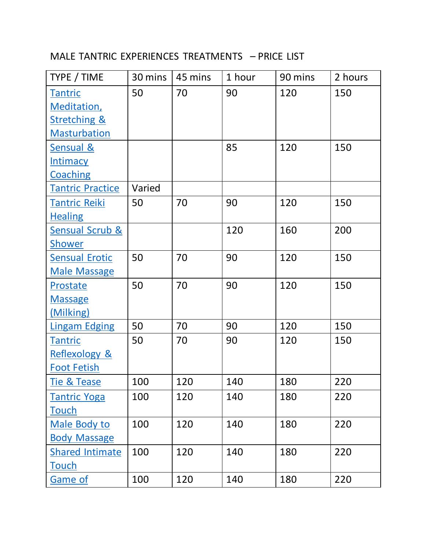## MALE TANTRIC EXPERIENCES TREATMENTS – PRICE LIST

| TYPE / TIME                | 30 mins | 45 mins | 1 hour | 90 mins | 2 hours |
|----------------------------|---------|---------|--------|---------|---------|
| Tantric                    | 50      | 70      | 90     | 120     | 150     |
| <b>Meditation</b> ,        |         |         |        |         |         |
| <b>Stretching &amp;</b>    |         |         |        |         |         |
| <b>Masturbation</b>        |         |         |        |         |         |
| <b>Sensual &amp;</b>       |         |         | 85     | 120     | 150     |
| <b>Intimacy</b>            |         |         |        |         |         |
| Coaching                   |         |         |        |         |         |
| <b>Tantric Practice</b>    | Varied  |         |        |         |         |
| Tantric Reiki              | 50      | 70      | 90     | 120     | 150     |
| <b>Healing</b>             |         |         |        |         |         |
| <b>Sensual Scrub &amp;</b> |         |         | 120    | 160     | 200     |
| Shower                     |         |         |        |         |         |
| <b>Sensual Erotic</b>      | 50      | 70      | 90     | 120     | 150     |
| <b>Male Massage</b>        |         |         |        |         |         |
| Prostate                   | 50      | 70      | 90     | 120     | 150     |
| <b>Massage</b>             |         |         |        |         |         |
| (Milking)                  |         |         |        |         |         |
| <b>Lingam Edging</b>       | 50      | 70      | 90     | 120     | 150     |
| <b>Tantric</b>             | 50      | 70      | 90     | 120     | 150     |
| <b>Reflexology &amp;</b>   |         |         |        |         |         |
| <b>Foot Fetish</b>         |         |         |        |         |         |
| <b>Tie &amp; Tease</b>     | 100     | 120     | 140    | 180     | 220     |
| <b>Tantric Yoga</b>        | 100     | 120     | 140    | 180     | 220     |
| <b>Touch</b>               |         |         |        |         |         |
| Male Body to               | 100     | 120     | 140    | 180     | 220     |
| <b>Body Massage</b>        |         |         |        |         |         |
| Shared Intimate            | 100     | 120     | 140    | 180     | 220     |
| Touch                      |         |         |        |         |         |
| Game of                    | 100     | 120     | 140    | 180     | 220     |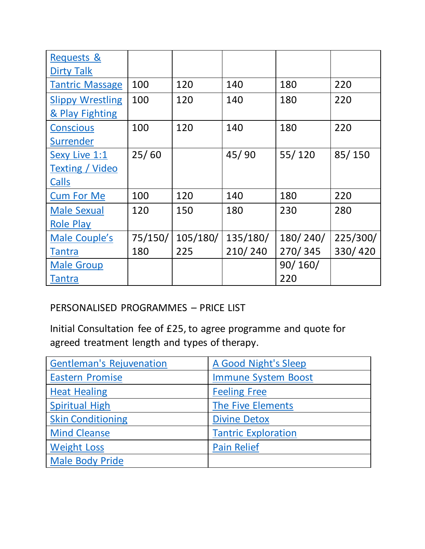| <b>Requests &amp;</b>   |         |          |          |          |          |
|-------------------------|---------|----------|----------|----------|----------|
| <b>Dirty Talk</b>       |         |          |          |          |          |
| <b>Tantric Massage</b>  | 100     | 120      | 140      | 180      | 220      |
| <b>Slippy Wrestling</b> | 100     | 120      | 140      | 180      | 220      |
| & Play Fighting         |         |          |          |          |          |
| Conscious               | 100     | 120      | 140      | 180      | 220      |
| <b>Surrender</b>        |         |          |          |          |          |
| Sexy Live 1:1           | 25/60   |          | 45/90    | 55/120   | 85/150   |
| <b>Texting / Video</b>  |         |          |          |          |          |
| Calls                   |         |          |          |          |          |
| <b>Cum For Me</b>       | 100     | 120      | 140      | 180      | 220      |
| <b>Male Sexual</b>      | 120     | 150      | 180      | 230      | 280      |
| <b>Role Play</b>        |         |          |          |          |          |
| Male Couple's           | 75/150/ | 105/180/ | 135/180/ | 180/240/ | 225/300/ |
| Tantra                  | 180     | 225      | 210/240  | 270/345  | 330/420  |
| <b>Male Group</b>       |         |          |          | 90/160/  |          |
| Tantra                  |         |          |          | 220      |          |

#### PERSONALISED PROGRAMMES – PRICE LIST

Initial Consultation fee of £25, to agree programme and quote for agreed treatment length and types of therapy.

| <b>Gentleman's Rejuvenation</b> | A Good Night's Sleep       |
|---------------------------------|----------------------------|
| <b>Eastern Promise</b>          | <b>Immune System Boost</b> |
| <b>Heat Healing</b>             | <b>Feeling Free</b>        |
| <b>Spiritual High</b>           | The Five Elements          |
| <b>Skin Conditioning</b>        | <b>Divine Detox</b>        |
| <b>Mind Cleanse</b>             | <b>Tantric Exploration</b> |
| <b>Weight Loss</b>              | <b>Pain Relief</b>         |
| <b>Male Body Pride</b>          |                            |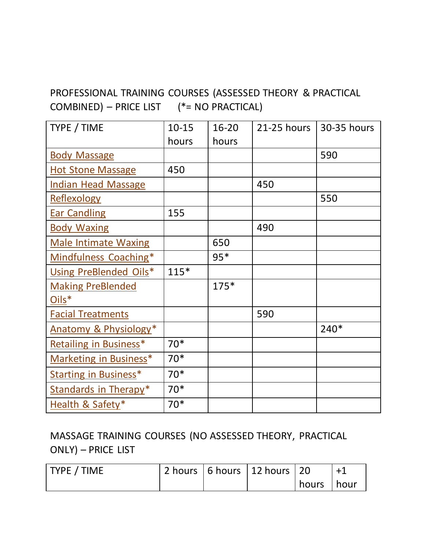## PROFESSIONAL TRAINING COURSES (ASSESSED THEORY & PRACTICAL COMBINED) – PRICE LIST (\*= NO PRACTICAL)

| TYPE / TIME                  | $10 - 15$ | 16-20  | 21-25 hours | 30-35 hours |
|------------------------------|-----------|--------|-------------|-------------|
|                              | hours     | hours  |             |             |
| <b>Body Massage</b>          |           |        |             | 590         |
| <b>Hot Stone Massage</b>     | 450       |        |             |             |
| <b>Indian Head Massage</b>   |           |        | 450         |             |
| <b>Reflexology</b>           |           |        |             | 550         |
| <b>Ear Candling</b>          | 155       |        |             |             |
| <b>Body Waxing</b>           |           |        | 490         |             |
| <b>Male Intimate Waxing</b>  |           | 650    |             |             |
| Mindfulness Coaching*        |           | $95*$  |             |             |
| Using PreBlended Oils*       | $115*$    |        |             |             |
| <b>Making PreBlended</b>     |           | $175*$ |             |             |
| Oils*                        |           |        |             |             |
| <b>Facial Treatments</b>     |           |        | 590         |             |
| Anatomy & Physiology*        |           |        |             | $240*$      |
| Retailing in Business*       | $70*$     |        |             |             |
| Marketing in Business*       | $70*$     |        |             |             |
| <b>Starting in Business*</b> | $70*$     |        |             |             |
| Standards in Therapy*        | $70*$     |        |             |             |
| Health & Safety*             | $70*$     |        |             |             |

## MASSAGE TRAINING COURSES (NO ASSESSED THEORY, PRACTICAL ONLY) – PRICE LIST

| <b>TYPE / TIME</b> |  | $'$ 2 hours   6 hours   12 hours   20 |              |  |
|--------------------|--|---------------------------------------|--------------|--|
|                    |  |                                       | hours   hour |  |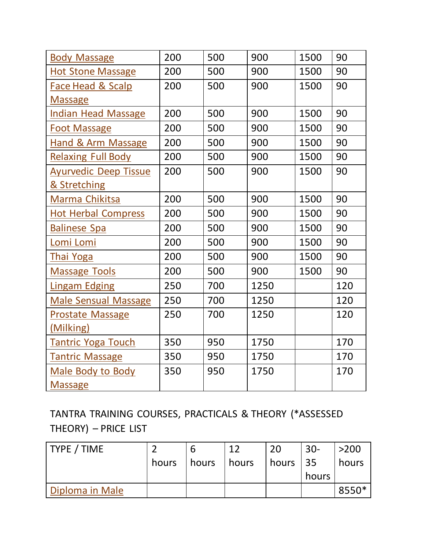| <b>Body Massage</b>           | 200 | 500 | 900  | 1500 | 90  |
|-------------------------------|-----|-----|------|------|-----|
| <b>Hot Stone Massage</b>      | 200 | 500 | 900  | 1500 | 90  |
| <b>Face Head &amp; Scalp</b>  | 200 | 500 | 900  | 1500 | 90  |
| <b>Massage</b>                |     |     |      |      |     |
| <b>Indian Head Massage</b>    | 200 | 500 | 900  | 1500 | 90  |
| <b>Foot Massage</b>           | 200 | 500 | 900  | 1500 | 90  |
| <b>Hand &amp; Arm Massage</b> | 200 | 500 | 900  | 1500 | 90  |
| <b>Relaxing Full Body</b>     | 200 | 500 | 900  | 1500 | 90  |
| <b>Ayurvedic Deep Tissue</b>  | 200 | 500 | 900  | 1500 | 90  |
| & Stretching                  |     |     |      |      |     |
| Marma Chikitsa                | 200 | 500 | 900  | 1500 | 90  |
| <b>Hot Herbal Compress</b>    | 200 | 500 | 900  | 1500 | 90  |
| <b>Balinese Spa</b>           | 200 | 500 | 900  | 1500 | 90  |
| Lomi Lomi                     | 200 | 500 | 900  | 1500 | 90  |
| <b>Thai Yoga</b>              | 200 | 500 | 900  | 1500 | 90  |
| <b>Massage Tools</b>          | 200 | 500 | 900  | 1500 | 90  |
| <b>Lingam Edging</b>          | 250 | 700 | 1250 |      | 120 |
| <b>Male Sensual Massage</b>   | 250 | 700 | 1250 |      | 120 |
| <b>Prostate Massage</b>       | 250 | 700 | 1250 |      | 120 |
| (Milking)                     |     |     |      |      |     |
| <b>Tantric Yoga Touch</b>     | 350 | 950 | 1750 |      | 170 |
| <b>Tantric Massage</b>        | 350 | 950 | 1750 |      | 170 |
| <b>Male Body to Body</b>      | 350 | 950 | 1750 |      | 170 |
| <b>Massage</b>                |     |     |      |      |     |

# TANTRA TRAINING COURSES, PRACTICALS & THEORY (\*ASSESSED THEORY) – PRICE LIST

| <b>TYPE / TIME</b> |       | b     | $\overline{1}$ | 20        | $30 -$ | $>200$ |
|--------------------|-------|-------|----------------|-----------|--------|--------|
|                    | hours | hours | hours          | hours 135 |        | hours  |
|                    |       |       |                |           | hours  |        |
| Diploma in Male    |       |       |                |           |        | 8550*  |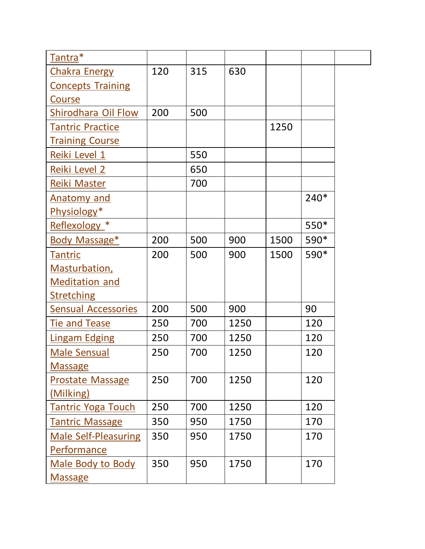| Tantra*                     |     |     |      |      |        |
|-----------------------------|-----|-----|------|------|--------|
| <b>Chakra Energy</b>        | 120 | 315 | 630  |      |        |
| <b>Concepts Training</b>    |     |     |      |      |        |
| Course                      |     |     |      |      |        |
| <b>Shirodhara Oil Flow</b>  | 200 | 500 |      |      |        |
| <b>Tantric Practice</b>     |     |     |      | 1250 |        |
| <b>Training Course</b>      |     |     |      |      |        |
| Reiki Level 1               |     | 550 |      |      |        |
| Reiki Level 2               |     | 650 |      |      |        |
| Reiki Master                |     | 700 |      |      |        |
| <b>Anatomy and</b>          |     |     |      |      | $240*$ |
| Physiology*                 |     |     |      |      |        |
| Reflexology *               |     |     |      |      | 550*   |
| Body Massage*               | 200 | 500 | 900  | 1500 | 590*   |
| <b>Tantric</b>              | 200 | 500 | 900  | 1500 | 590*   |
| Masturbation,               |     |     |      |      |        |
| <b>Meditation and</b>       |     |     |      |      |        |
| <b>Stretching</b>           |     |     |      |      |        |
| <b>Sensual Accessories</b>  | 200 | 500 | 900  |      | 90     |
| <b>Tie and Tease</b>        | 250 | 700 | 1250 |      | 120    |
| <b>Lingam Edging</b>        | 250 | 700 | 1250 |      | 120    |
| <b>Male Sensual</b>         | 250 | 700 | 1250 |      | 120    |
| <b>Massage</b>              |     |     |      |      |        |
| <b>Prostate Massage</b>     | 250 | 700 | 1250 |      | 120    |
| (Milking)                   |     |     |      |      |        |
| <b>Tantric Yoga Touch</b>   | 250 | 700 | 1250 |      | 120    |
| <b>Tantric Massage</b>      | 350 | 950 | 1750 |      | 170    |
| <b>Male Self-Pleasuring</b> | 350 | 950 | 1750 |      | 170    |
| Performance                 |     |     |      |      |        |
| <b>Male Body to Body</b>    | 350 | 950 | 1750 |      | 170    |
| <b>Massage</b>              |     |     |      |      |        |
|                             |     |     |      |      |        |